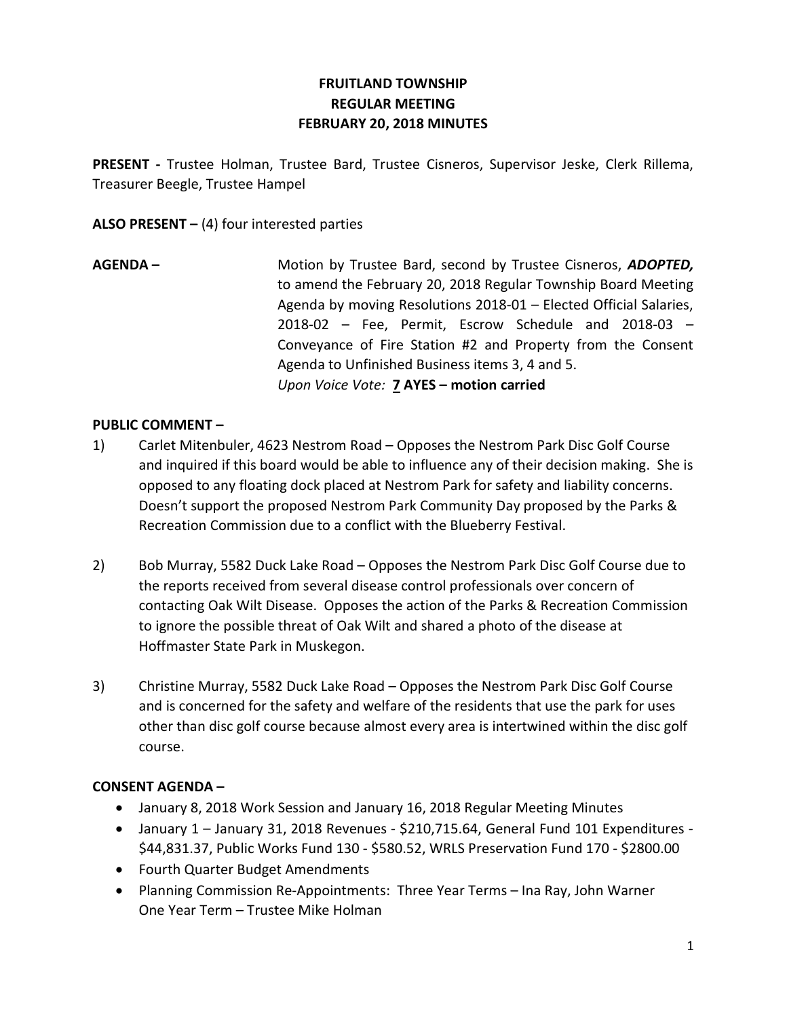# FRUITLAND TOWNSHIP REGULAR MEETING FEBRUARY 20, 2018 MINUTES

PRESENT - Trustee Holman, Trustee Bard, Trustee Cisneros, Supervisor Jeske, Clerk Rillema, Treasurer Beegle, Trustee Hampel

ALSO PRESENT  $-$  (4) four interested parties

AGENDA – Motion by Trustee Bard, second by Trustee Cisneros, ADOPTED, to amend the February 20, 2018 Regular Township Board Meeting Agenda by moving Resolutions 2018-01 – Elected Official Salaries, 2018-02 – Fee, Permit, Escrow Schedule and 2018-03 – Conveyance of Fire Station #2 and Property from the Consent Agenda to Unfinished Business items 3, 4 and 5. Upon Voice Vote: 7 AYES – motion carried

### PUBLIC COMMENT –

- 1) Carlet Mitenbuler, 4623 Nestrom Road Opposes the Nestrom Park Disc Golf Course and inquired if this board would be able to influence any of their decision making. She is opposed to any floating dock placed at Nestrom Park for safety and liability concerns. Doesn't support the proposed Nestrom Park Community Day proposed by the Parks & Recreation Commission due to a conflict with the Blueberry Festival.
- 2) Bob Murray, 5582 Duck Lake Road Opposes the Nestrom Park Disc Golf Course due to the reports received from several disease control professionals over concern of contacting Oak Wilt Disease. Opposes the action of the Parks & Recreation Commission to ignore the possible threat of Oak Wilt and shared a photo of the disease at Hoffmaster State Park in Muskegon.
- 3) Christine Murray, 5582 Duck Lake Road Opposes the Nestrom Park Disc Golf Course and is concerned for the safety and welfare of the residents that use the park for uses other than disc golf course because almost every area is intertwined within the disc golf course.

### CONSENT AGENDA –

- January 8, 2018 Work Session and January 16, 2018 Regular Meeting Minutes
- January 1 January 31, 2018 Revenues \$210,715.64, General Fund 101 Expenditures \$44,831.37, Public Works Fund 130 - \$580.52, WRLS Preservation Fund 170 - \$2800.00
- Fourth Quarter Budget Amendments
- Planning Commission Re-Appointments: Three Year Terms Ina Ray, John Warner One Year Term – Trustee Mike Holman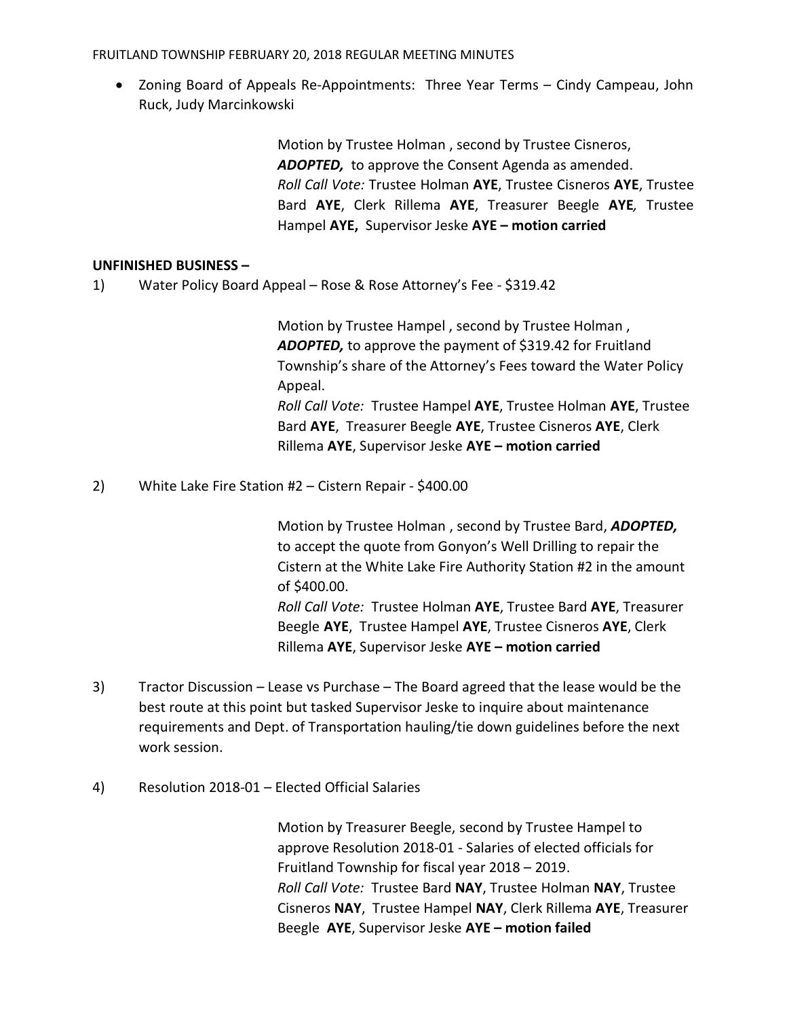FRUITLAND TOWNSHIP FEBRUARY 20, 2018 REGULAR MEETING MINUTES

 Zoning Board of Appeals Re-Appointments: Three Year Terms – Cindy Campeau, John Ruck, Judy Marcinkowski

> Motion by Trustee Holman , second by Trustee Cisneros, ADOPTED, to approve the Consent Agenda as amended. Roll Call Vote: Trustee Holman AYE, Trustee Cisneros AYE, Trustee Bard AYE, Clerk Rillema AYE, Treasurer Beegle AYE, Trustee Hampel AYE, Supervisor Jeske AYE - motion carried

### UNFINISHED BUSINESS –

1) Water Policy Board Appeal – Rose & Rose Attorney's Fee - \$319.42

 Motion by Trustee Hampel , second by Trustee Holman , ADOPTED, to approve the payment of \$319.42 for Fruitland Township's share of the Attorney's Fees toward the Water Policy Appeal. Roll Call Vote: Trustee Hampel AYE, Trustee Holman AYE, Trustee Bard AYE, Treasurer Beegle AYE, Trustee Cisneros AYE, Clerk Rillema AYE, Supervisor Jeske AYE – motion carried

2) White Lake Fire Station #2 – Cistern Repair - \$400.00

Motion by Trustee Holman, second by Trustee Bard, ADOPTED, to accept the quote from Gonyon's Well Drilling to repair the Cistern at the White Lake Fire Authority Station #2 in the amount of \$400.00.

Roll Call Vote: Trustee Holman AYE, Trustee Bard AYE, Treasurer Beegle AYE, Trustee Hampel AYE, Trustee Cisneros AYE, Clerk Rillema AYE, Supervisor Jeske AYE – motion carried

- 3) Tractor Discussion Lease vs Purchase The Board agreed that the lease would be the best route at this point but tasked Supervisor Jeske to inquire about maintenance requirements and Dept. of Transportation hauling/tie down guidelines before the next work session.
- 4) Resolution 2018-01 Elected Official Salaries

 Motion by Treasurer Beegle, second by Trustee Hampel to approve Resolution 2018-01 - Salaries of elected officials for Fruitland Township for fiscal year 2018 – 2019. Roll Call Vote: Trustee Bard NAY, Trustee Holman NAY, Trustee Cisneros NAY, Trustee Hampel NAY, Clerk Rillema AYE, Treasurer Beegle AYE, Supervisor Jeske AYE – motion failed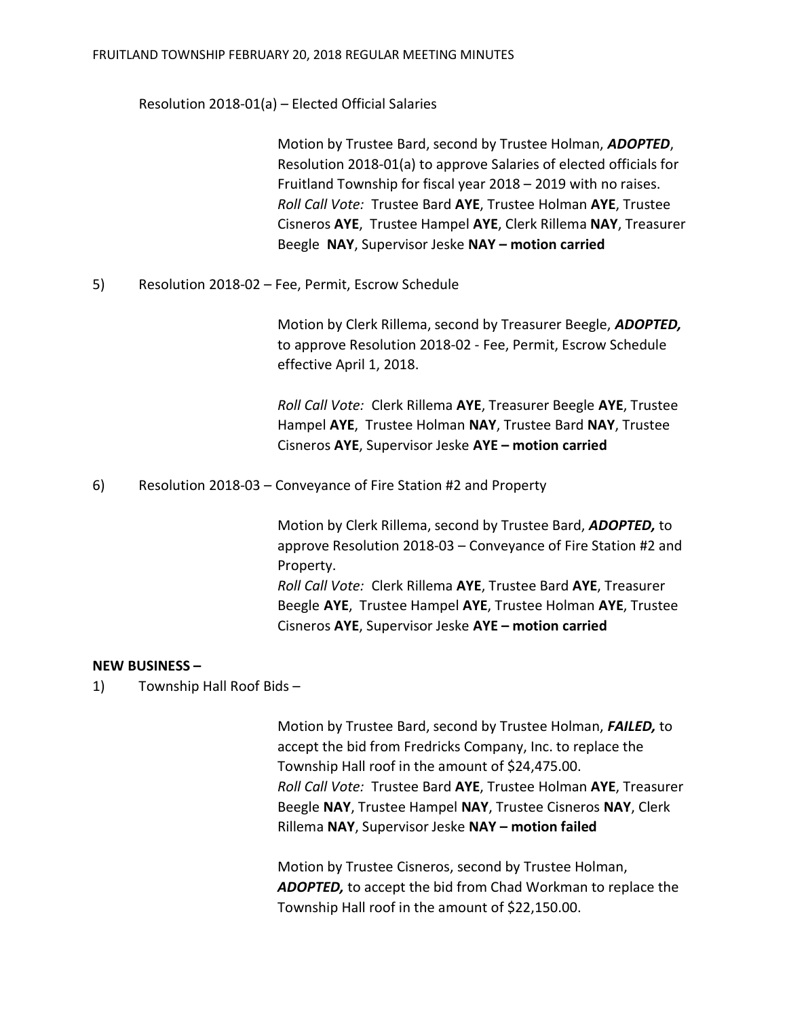Resolution 2018-01(a) – Elected Official Salaries

 Motion by Trustee Bard, second by Trustee Holman, ADOPTED, Resolution 2018-01(a) to approve Salaries of elected officials for Fruitland Township for fiscal year 2018 – 2019 with no raises. Roll Call Vote: Trustee Bard AYE, Trustee Holman AYE, Trustee Cisneros AYE, Trustee Hampel AYE, Clerk Rillema NAY, Treasurer Beegle NAY, Supervisor Jeske NAY – motion carried

5) Resolution 2018-02 – Fee, Permit, Escrow Schedule

Motion by Clerk Rillema, second by Treasurer Beegle, ADOPTED, to approve Resolution 2018-02 - Fee, Permit, Escrow Schedule effective April 1, 2018.

 Roll Call Vote: Clerk Rillema AYE, Treasurer Beegle AYE, Trustee Hampel AYE, Trustee Holman NAY, Trustee Bard NAY, Trustee Cisneros AYE, Supervisor Jeske AYE – motion carried

6) Resolution 2018-03 – Conveyance of Fire Station #2 and Property

 Motion by Clerk Rillema, second by Trustee Bard, ADOPTED, to approve Resolution 2018-03 – Conveyance of Fire Station #2 and Property. Roll Call Vote: Clerk Rillema AYE, Trustee Bard AYE, Treasurer

 Beegle AYE, Trustee Hampel AYE, Trustee Holman AYE, Trustee Cisneros AYE, Supervisor Jeske AYE – motion carried

### NEW BUSINESS –

1) Township Hall Roof Bids –

 Motion by Trustee Bard, second by Trustee Holman, FAILED, to accept the bid from Fredricks Company, Inc. to replace the Township Hall roof in the amount of \$24,475.00. Roll Call Vote: Trustee Bard AYE, Trustee Holman AYE, Treasurer Beegle NAY, Trustee Hampel NAY, Trustee Cisneros NAY, Clerk Rillema NAY, Supervisor Jeske NAY – motion failed

 Motion by Trustee Cisneros, second by Trustee Holman, ADOPTED, to accept the bid from Chad Workman to replace the Township Hall roof in the amount of \$22,150.00.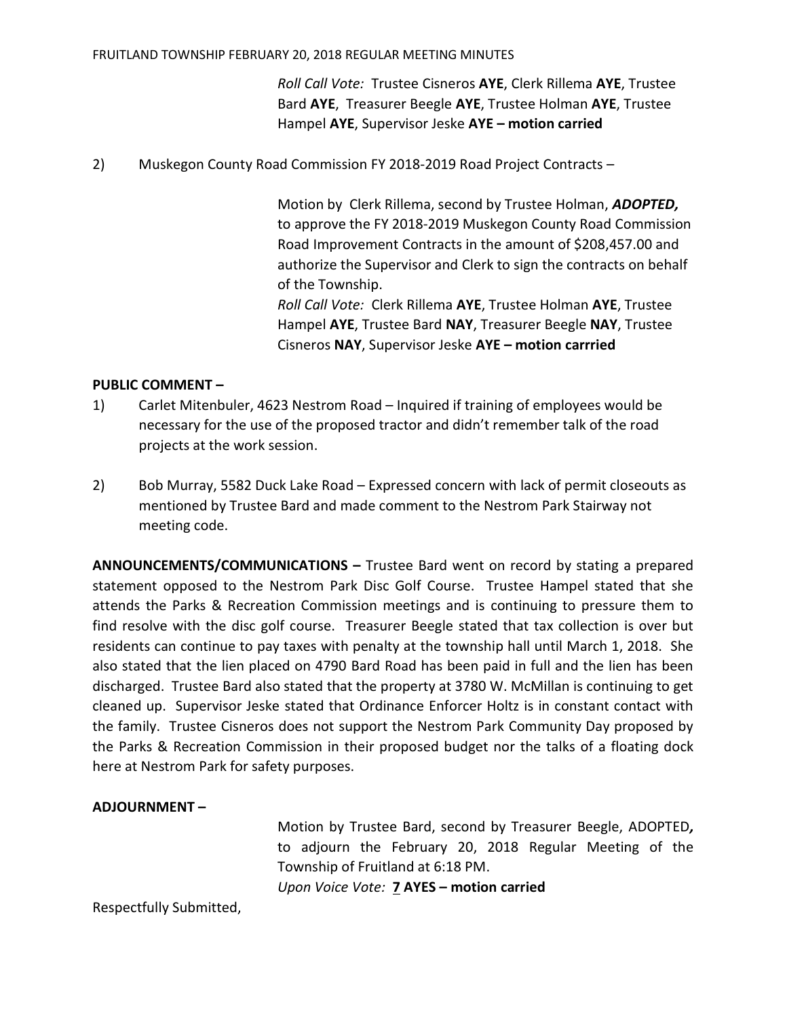#### FRUITLAND TOWNSHIP FEBRUARY 20, 2018 REGULAR MEETING MINUTES

 Roll Call Vote: Trustee Cisneros AYE, Clerk Rillema AYE, Trustee Bard AYE, Treasurer Beegle AYE, Trustee Holman AYE, Trustee Hampel AYE, Supervisor Jeske AYE – motion carried

2) Muskegon County Road Commission FY 2018-2019 Road Project Contracts –

Motion by Clerk Rillema, second by Trustee Holman, ADOPTED, to approve the FY 2018-2019 Muskegon County Road Commission Road Improvement Contracts in the amount of \$208,457.00 and authorize the Supervisor and Clerk to sign the contracts on behalf of the Township.

 Roll Call Vote: Clerk Rillema AYE, Trustee Holman AYE, Trustee Hampel AYE, Trustee Bard NAY, Treasurer Beegle NAY, Trustee Cisneros NAY, Supervisor Jeske AYE – motion carrried

### PUBLIC COMMENT –

- 1) Carlet Mitenbuler, 4623 Nestrom Road Inquired if training of employees would be necessary for the use of the proposed tractor and didn't remember talk of the road projects at the work session.
- 2) Bob Murray, 5582 Duck Lake Road Expressed concern with lack of permit closeouts as mentioned by Trustee Bard and made comment to the Nestrom Park Stairway not meeting code.

ANNOUNCEMENTS/COMMUNICATIONS – Trustee Bard went on record by stating a prepared statement opposed to the Nestrom Park Disc Golf Course. Trustee Hampel stated that she attends the Parks & Recreation Commission meetings and is continuing to pressure them to find resolve with the disc golf course. Treasurer Beegle stated that tax collection is over but residents can continue to pay taxes with penalty at the township hall until March 1, 2018. She also stated that the lien placed on 4790 Bard Road has been paid in full and the lien has been discharged. Trustee Bard also stated that the property at 3780 W. McMillan is continuing to get cleaned up. Supervisor Jeske stated that Ordinance Enforcer Holtz is in constant contact with the family. Trustee Cisneros does not support the Nestrom Park Community Day proposed by the Parks & Recreation Commission in their proposed budget nor the talks of a floating dock here at Nestrom Park for safety purposes.

## ADJOURNMENT –

Motion by Trustee Bard, second by Treasurer Beegle, ADOPTED, to adjourn the February 20, 2018 Regular Meeting of the Township of Fruitland at 6:18 PM.

Upon Voice Vote: 7 AYES – motion carried

Respectfully Submitted,